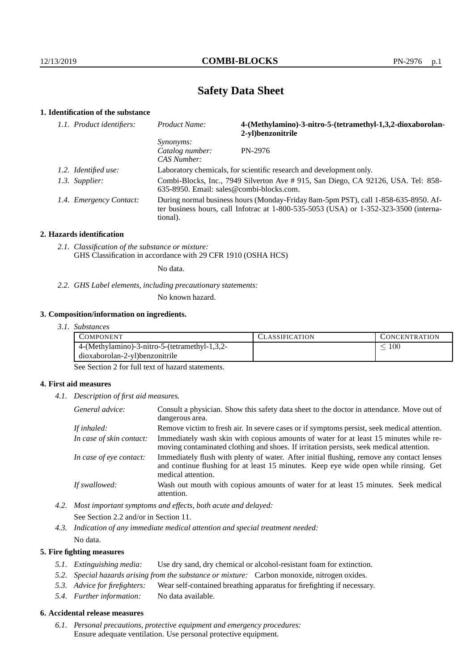# **Safety Data Sheet**

# **1. Identification of the substance**

| 1.1. Product identifiers: | Product Name:                                                                                                                                                                               | 4-(Methylamino)-3-nitro-5-(tetramethyl-1,3,2-dioxaborolan-<br>2-yl)benzonitrile |  |
|---------------------------|---------------------------------------------------------------------------------------------------------------------------------------------------------------------------------------------|---------------------------------------------------------------------------------|--|
|                           | <i>Synonyms:</i><br>Catalog number:<br>CAS Number:                                                                                                                                          | PN-2976                                                                         |  |
| 1.2. Identified use:      | Laboratory chemicals, for scientific research and development only.                                                                                                                         |                                                                                 |  |
| 1.3. Supplier:            | Combi-Blocks, Inc., 7949 Silverton Ave # 915, San Diego, CA 92126, USA. Tel: 858-<br>$635-8950$ . Email: sales@combi-blocks.com.                                                            |                                                                                 |  |
| 1.4. Emergency Contact:   | During normal business hours (Monday-Friday 8am-5pm PST), call 1-858-635-8950. Af-<br>ter business hours, call Infotrac at $1-800-535-5053$ (USA) or $1-352-323-3500$ (interna-<br>tional). |                                                                                 |  |

#### **2. Hazards identification**

*2.1. Classification of the substance or mixture:* GHS Classification in accordance with 29 CFR 1910 (OSHA HCS)

No data.

*2.2. GHS Label elements, including precautionary statements:*

No known hazard.

#### **3. Composition/information on ingredients.**

*3.1. Substances*

| COMPONENT                                     | <b>ASSIFICATION</b> | CONCENTRATION |
|-----------------------------------------------|---------------------|---------------|
| 4-(Methylamino)-3-nitro-5-(tetramethyl-1,3,2- |                     | 100           |
| dioxaborolan-2-yl)benzonitrile                |                     |               |

See Section 2 for full text of hazard statements.

#### **4. First aid measures**

*4.1. Description of first aid measures.*

| General advice:          | Consult a physician. Show this safety data sheet to the doctor in attendance. Move out of<br>dangerous area.                                                                                            |
|--------------------------|---------------------------------------------------------------------------------------------------------------------------------------------------------------------------------------------------------|
| If inhaled:              | Remove victim to fresh air. In severe cases or if symptoms persist, seek medical attention.                                                                                                             |
| In case of skin contact: | Immediately wash skin with copious amounts of water for at least 15 minutes while re-<br>moving contaminated clothing and shoes. If irritation persists, seek medical attention.                        |
| In case of eye contact:  | Immediately flush with plenty of water. After initial flushing, remove any contact lenses<br>and continue flushing for at least 15 minutes. Keep eye wide open while rinsing. Get<br>medical attention. |
| If swallowed:            | Wash out mouth with copious amounts of water for at least 15 minutes. Seek medical<br>attention.                                                                                                        |

*4.2. Most important symptoms and effects, both acute and delayed:* See Section 2.2 and/or in Section 11.

*4.3. Indication of any immediate medical attention and special treatment needed:* No data.

#### **5. Fire fighting measures**

- *5.1. Extinguishing media:* Use dry sand, dry chemical or alcohol-resistant foam for extinction.
- *5.2. Special hazards arising from the substance or mixture:* Carbon monoxide, nitrogen oxides.
- *5.3. Advice for firefighters:* Wear self-contained breathing apparatus for firefighting if necessary.
- *5.4. Further information:* No data available.

## **6. Accidental release measures**

*6.1. Personal precautions, protective equipment and emergency procedures:* Ensure adequate ventilation. Use personal protective equipment.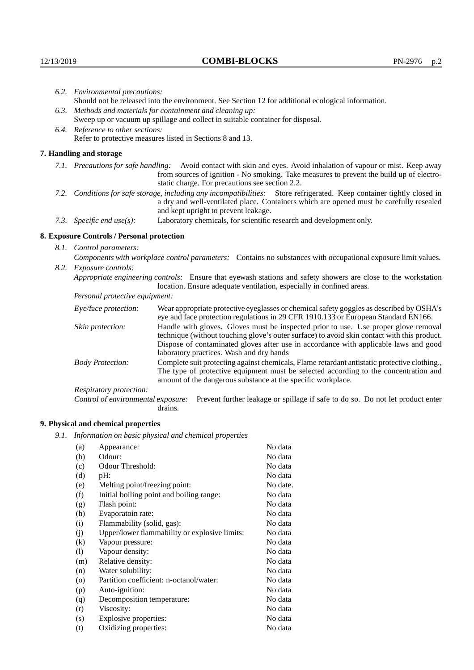|                                                                                                    | 6.2. Environmental precautions:                                                                                                                                                                                                                                    |                                                                                                                                                                                                                                                                            |  |  |
|----------------------------------------------------------------------------------------------------|--------------------------------------------------------------------------------------------------------------------------------------------------------------------------------------------------------------------------------------------------------------------|----------------------------------------------------------------------------------------------------------------------------------------------------------------------------------------------------------------------------------------------------------------------------|--|--|
| Should not be released into the environment. See Section 12 for additional ecological information. |                                                                                                                                                                                                                                                                    |                                                                                                                                                                                                                                                                            |  |  |
|                                                                                                    | 6.3. Methods and materials for containment and cleaning up:                                                                                                                                                                                                        |                                                                                                                                                                                                                                                                            |  |  |
| Sweep up or vacuum up spillage and collect in suitable container for disposal.                     |                                                                                                                                                                                                                                                                    |                                                                                                                                                                                                                                                                            |  |  |
|                                                                                                    | 6.4. Reference to other sections:                                                                                                                                                                                                                                  |                                                                                                                                                                                                                                                                            |  |  |
|                                                                                                    |                                                                                                                                                                                                                                                                    | Refer to protective measures listed in Sections 8 and 13.                                                                                                                                                                                                                  |  |  |
|                                                                                                    | 7. Handling and storage                                                                                                                                                                                                                                            |                                                                                                                                                                                                                                                                            |  |  |
|                                                                                                    | 7.1. Precautions for safe handling: Avoid contact with skin and eyes. Avoid inhalation of vapour or mist. Keep away<br>from sources of ignition - No smoking. Take measures to prevent the build up of electro-<br>static charge. For precautions see section 2.2. |                                                                                                                                                                                                                                                                            |  |  |
|                                                                                                    | 7.2. Conditions for safe storage, including any incompatibilities: Store refrigerated. Keep container tightly closed in<br>a dry and well-ventilated place. Containers which are opened must be carefully resealed<br>and kept upright to prevent leakage.         |                                                                                                                                                                                                                                                                            |  |  |
| Laboratory chemicals, for scientific research and development only.<br>7.3. Specific end use(s):   |                                                                                                                                                                                                                                                                    |                                                                                                                                                                                                                                                                            |  |  |
|                                                                                                    | 8. Exposure Controls / Personal protection                                                                                                                                                                                                                         |                                                                                                                                                                                                                                                                            |  |  |
|                                                                                                    | 8.1. Control parameters:                                                                                                                                                                                                                                           |                                                                                                                                                                                                                                                                            |  |  |
|                                                                                                    |                                                                                                                                                                                                                                                                    | Components with workplace control parameters: Contains no substances with occupational exposure limit values.                                                                                                                                                              |  |  |
|                                                                                                    | 8.2. Exposure controls:                                                                                                                                                                                                                                            |                                                                                                                                                                                                                                                                            |  |  |
|                                                                                                    | Appropriate engineering controls: Ensure that eyewash stations and safety showers are close to the workstation                                                                                                                                                     |                                                                                                                                                                                                                                                                            |  |  |
|                                                                                                    |                                                                                                                                                                                                                                                                    | location. Ensure adequate ventilation, especially in confined areas.                                                                                                                                                                                                       |  |  |
|                                                                                                    | Personal protective equipment:                                                                                                                                                                                                                                     |                                                                                                                                                                                                                                                                            |  |  |
|                                                                                                    | Eye/face protection:                                                                                                                                                                                                                                               | Wear appropriate protective eyeglasses or chemical safety goggles as described by OSHA's<br>eye and face protection regulations in 29 CFR 1910.133 or European Standard EN166.                                                                                             |  |  |
|                                                                                                    | Skin protection:                                                                                                                                                                                                                                                   | Handle with gloves. Gloves must be inspected prior to use. Use proper glove removal<br>technique (without touching glove's outer surface) to avoid skin contact with this product.<br>Dignage of conteminated glories often use in coordones with applicable laws and good |  |  |

## **8. Exposure Controls / Personal protection**

| Eye/face protection:               | Wear appropriate protective eyeglasses or chemical safety goggles as described by OSHA's<br>eye and face protection regulations in 29 CFR 1910.133 or European Standard EN166.                                                                                                                                         |                                                                                |  |
|------------------------------------|------------------------------------------------------------------------------------------------------------------------------------------------------------------------------------------------------------------------------------------------------------------------------------------------------------------------|--------------------------------------------------------------------------------|--|
| Skin protection:                   | Handle with gloves. Gloves must be inspected prior to use. Use proper glove removal<br>technique (without touching glove's outer surface) to avoid skin contact with this product.<br>Dispose of contaminated gloves after use in accordance with applicable laws and good<br>laboratory practices. Wash and dry hands |                                                                                |  |
| <b>Body Protection:</b>            | Complete suit protecting against chemicals, Flame retardant antistatic protective clothing.,<br>The type of protective equipment must be selected according to the concentration and<br>amount of the dangerous substance at the specific workplace.                                                                   |                                                                                |  |
| Respiratory protection:            |                                                                                                                                                                                                                                                                                                                        |                                                                                |  |
| Control of environmental exposure: | drains.                                                                                                                                                                                                                                                                                                                | Prevent further leakage or spillage if safe to do so. Do not let product enter |  |

## **9. Physical and chemical properties**

*9.1. Information on basic physical and chemical properties*

| (a)                        | Appearance:                                   | No data  |
|----------------------------|-----------------------------------------------|----------|
| (b)                        | Odour:                                        | No data  |
| (c)                        | Odour Threshold:                              | No data  |
| (d)                        | $pH$ :                                        | No data  |
| (e)                        | Melting point/freezing point:                 | No date. |
| (f)                        | Initial boiling point and boiling range:      | No data  |
| (g)                        | Flash point:                                  | No data  |
| (h)                        | Evaporatoin rate:                             | No data  |
| (i)                        | Flammability (solid, gas):                    | No data  |
| (j)                        | Upper/lower flammability or explosive limits: | No data  |
| (k)                        | Vapour pressure:                              | No data  |
| $\left( \mathrm{l}\right)$ | Vapour density:                               | No data  |
| (m)                        | Relative density:                             | No data  |
| (n)                        | Water solubility:                             | No data  |
| $\rm (o)$                  | Partition coefficient: n-octanol/water:       | No data  |
| (p)                        | Auto-ignition:                                | No data  |
| (q)                        | Decomposition temperature:                    | No data  |
| (r)                        | Viscosity:                                    | No data  |
| (s)                        | Explosive properties:                         | No data  |
| (t)                        | Oxidizing properties:                         | No data  |